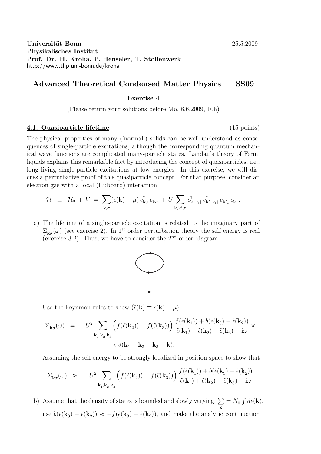## Universität Bonn 25.5.2009 Physikalisches Institut Prof. Dr. H. Kroha, P. Henseler, T. Stollenwerk http://www.thp.uni-bonn.de/kroha

# Advanced Theoretical Condensed Matter Physics — SS09

#### Exercise 4

(Please return your solutions before Mo. 8.6.2009, 10h)

#### 4.1. Quasiparticle lifetime (15 points)

The physical properties of many ('normal') solids can be well understood as consequences of single-particle excitations, although the corresponding quantum mechanical wave functions are complicated many-particle states. Landau's theory of Fermi liquids explains this remarkable fact by introducing the concept of quasiparticles, i.e., long living single-particle excitations at low energies. In this exercise, we will discuss a perturbative proof of this quasiparticle concept. For that purpose, consider an electron gas with a local (Hubbard) interaction

$$
\mathcal{H} \equiv \mathcal{H}_0 + V = \sum_{\mathbf{k},\sigma} (\epsilon(\mathbf{k}) - \mu) c_{\mathbf{k}\sigma}^\dagger c_{\mathbf{k}\sigma} + U \sum_{\mathbf{k},\mathbf{k}',\mathbf{q}} c_{\mathbf{k}+\mathbf{q}\uparrow}^\dagger c_{\mathbf{k}'-\mathbf{q}\downarrow}^\dagger c_{\mathbf{k}'\downarrow} c_{\mathbf{k}\uparrow}.
$$

a) The lifetime of a single-particle excitation is related to the imaginary part of  $\Sigma_{\mathbf{k}\sigma}(\omega)$  (see exercise 2). In 1<sup>st</sup> order perturbation theory the self energy is real (exercise 3.2). Thus, we have to consider the  $2<sup>nd</sup>$  order diagram



Use the Feynman rules to show  $(\tilde{\epsilon}(\mathbf{k}) \equiv \epsilon(\mathbf{k}) - \mu)$ 

$$
\begin{array}{lcl} \Sigma_{{\bf k}\sigma}(\omega) & = & -U^2 \sum_{{\bf k}_1,{\bf k}_2,{\bf k}_3} \left( f(\tilde{\epsilon}({\bf k}_2)) - f(\tilde{\epsilon}({\bf k}_3)) \right) \frac{f(\tilde{\epsilon}({\bf k}_1)) + b(\tilde{\epsilon}({\bf k}_3) - \tilde{\epsilon}({\bf k}_2))}{\tilde{\epsilon}({\bf k}_1) + \tilde{\epsilon}({\bf k}_2) - \tilde{\epsilon}({\bf k}_3) - {\rm i} \omega} \times \\ & & \times \delta({\bf k}_1 + {\bf k}_2 - {\bf k}_3 - {\bf k}). \end{array}
$$

Assuming the self energy to be strongly localized in position space to show that

$$
\Sigma_{\mathbf{k}\sigma}(\omega) \approx -U^2 \sum_{\mathbf{k}_1,\mathbf{k}_2,\mathbf{k}_3} \left( f(\tilde{\epsilon}(\mathbf{k}_2)) - f(\tilde{\epsilon}(\mathbf{k}_3)) \right) \frac{f(\tilde{\epsilon}(\mathbf{k}_1)) + b(\tilde{\epsilon}(\mathbf{k}_3) - \tilde{\epsilon}(\mathbf{k}_2))}{\tilde{\epsilon}(\mathbf{k}_1) + \tilde{\epsilon}(\mathbf{k}_2) - \tilde{\epsilon}(\mathbf{k}_3) - i\omega}.
$$

b) Assume that the density of states is bounded and slowly varying,  $\Sigma$  $\sum_{\mathbf{k}} = N_0 \int d\tilde{\epsilon}(\mathbf{k}),$ use  $b(\tilde{\epsilon}(\mathbf{k}_3) - \tilde{\epsilon}(\mathbf{k}_2)) \approx -f(\tilde{\epsilon}(\mathbf{k}_3) - \tilde{\epsilon}(\mathbf{k}_2))$ , and make the analytic continuation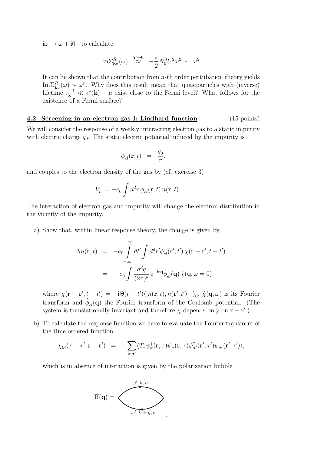$i\omega \rightarrow \omega + i0^+$  to calculate

Im
$$
\Sigma_{\mathbf{k}\sigma}^{R}(\omega) \stackrel{T\to 0}{\approx} -\frac{\pi}{2} N_0^3 U^2 \omega^2 \sim \omega^2
$$
.

It can be shown that the contribution from  $n$ -th order pertubation theory yields  $\text{Im}\Sigma_{\mathbf{k}\sigma}^{R}(\omega) \sim \omega^{n}$ . Why does this result mean that quasiparticles with (inverse) lifetime  $\tau_{\mathbf{k}}^{-1} \ll \epsilon^*(\mathbf{k}) - \mu$  exist close to the Fermi level? What follows for the existence of a Fermi surface?

### 4.2. Screening in an electron gas I: Lindhard function (15 points)

We will consider the response of a weakly interacting electron gas to a static impurity with electric charge  $q_0$ . The static electric potential induced by the impurity is

$$
\phi_{el}(\mathbf{r},t) = \frac{q_0}{r}.
$$

and couples to the electron density of the gas by (cf. exercise 3)

$$
V_t = -e_0 \int d^d r \, \phi_{el}(\mathbf{r}, t) \, n(\mathbf{r}, t).
$$

The interaction of electron gas and impurity will change the electron distribution in the vicinity of the impurity.

a) Show that, within linear response theory, the change is given by

$$
\Delta n(\mathbf{r},t) = -e_0 \int_{-\infty}^{\infty} dt' \int d^d r' \phi_{el}(\mathbf{r}',t') \chi(\mathbf{r}-\mathbf{r}',t-t')
$$
  
= 
$$
-e_0 \int \frac{d^d q}{(2\pi)^d} e^{-i\mathbf{r}\mathbf{q}} \hat{\phi}_{el}(\mathbf{q}) \hat{\chi}(\mathbf{q},\omega=0),
$$

where  $\chi(\mathbf{r}-\mathbf{r}',t-t')=-i\Theta(t-t')\langle[n(\mathbf{r},t),n(\mathbf{r}',t')]_{-}\rangle_{0},\ \hat{\chi}(\mathbf{q},\omega)$  is its Fourier transform and  $\hat{\phi}_{el}(\mathbf{q})$  the Fourier transform of the Coulomb potential. (The system is translationally invariant and therefore  $\chi$  depends only on  $\mathbf{r} - \mathbf{r}'$ .)

b) To calculate the response function we have to evaluate the Fourier transform of the time ordered function

$$
\chi_{\mathbf{M}}(\tau - \tau', \mathbf{r} - \mathbf{r}') = -\sum_{\sigma, \sigma'} \langle T_{\tau} \psi_{\sigma}^{\dagger}(\mathbf{r}, \tau) \psi_{\sigma}(\mathbf{r}, \tau) \psi_{\sigma'}^{\dagger}(\mathbf{r}', \tau') \psi_{\sigma'}(\mathbf{r}', \tau') \rangle,
$$

which is in absence of interaction is given by the polarization bubble